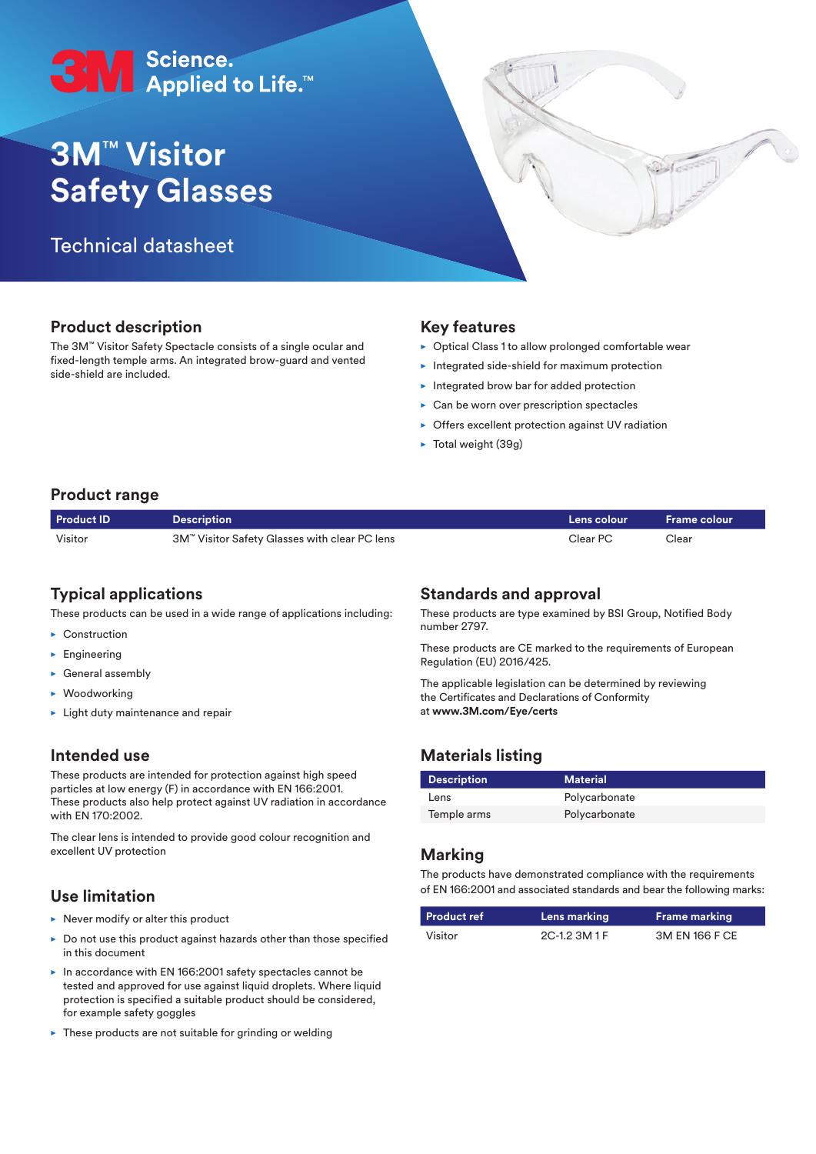# SN Science.<br>● Applied to Life.™

## **3M**™ **Visitor Safety Glasses**

### Technical datasheet



The 3M™ Visitor Safety Spectacle consists of a single ocular and fixed-length temple arms. An integrated brow-guard and vented side-shield are included.

#### **Key features**

- $\triangleright$  Optical Class 1 to allow prolonged comfortable wear
- $\blacktriangleright$  Integrated side-shield for maximum protection
- $\blacktriangleright$  Integrated brow bar for added protection
- $\triangleright$  Can be worn over prescription spectacles
- $\triangleright$  Offers excellent protection against UV radiation
- $\blacktriangleright$  Total weight (39g)

#### **Product range**

| <b>Product ID</b> | $\sf{Description}$                            | Lens colour | $\blacksquare$ Frame colour |
|-------------------|-----------------------------------------------|-------------|-----------------------------|
| Visitor           | 3M™ Visitor Safety Glasses with clear PC lens | Clear PC    | Clear                       |

#### **Typical applications**

These products can be used in a wide range of applications including:

- $\blacktriangleright$  Construction
- $\blacktriangleright$  Engineering
- $\blacktriangleright$  General assembly
- $\blacktriangleright$  Woodworking
- $\blacktriangleright$  Light duty maintenance and repair

#### **Intended use**

These products are intended for protection against high speed particles at low energy (F) in accordance with EN 166:2001. These products also help protect against UV radiation in accordance with EN 170:2002.

The clear lens is intended to provide good colour recognition and excellent UV protection

#### **Use limitation**

- $\blacktriangleright$  Never modify or alter this product
- $\triangleright$  Do not use this product against hazards other than those specified in this document
- $\blacktriangleright$  In accordance with EN 166:2001 safety spectacles cannot be tested and approved for use against liquid droplets. Where liquid protection is specified a suitable product should be considered, for example safety goggles
- $\blacktriangleright$  These products are not suitable for grinding or welding

#### **Standards and approval**

These products are type examined by BSI Group, Notified Body number 2797.

These products are CE marked to the requirements of European Regulation (EU) 2016/425.

The applicable legislation can be determined by reviewing the Certificates and Declarations of Conformity at **www.3M.com/Eye/certs**

#### **Materials listing**

| <b>Description</b> | <b>Material</b> |
|--------------------|-----------------|
| Lens               | Polycarbonate   |
| Temple arms        | Polycarbonate   |

#### **Marking**

The products have demonstrated compliance with the requirements of EN 166:2001 and associated standards and bear the following marks:

| Product ref | Lens marking  | <b>Frame marking</b> |
|-------------|---------------|----------------------|
| Visitor     | 2C-1.2 3M 1 F | 3M EN 166 F CE       |